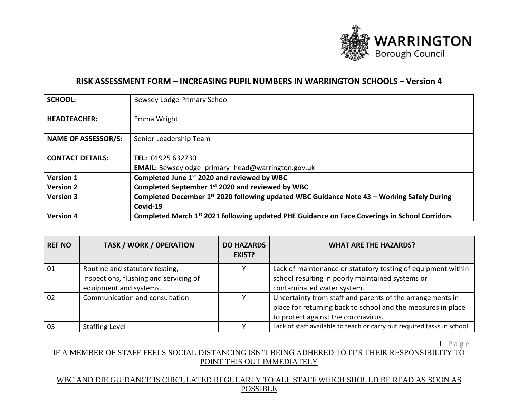

# **RISK ASSESSMENT FORM – INCREASING PUPIL NUMBERS IN WARRINGTON SCHOOLS – Version 4**

| <b>SCHOOL:</b>             | Bewsey Lodge Primary School                                                                               |
|----------------------------|-----------------------------------------------------------------------------------------------------------|
| <b>HEADTEACHER:</b>        | Emma Wright                                                                                               |
| <b>NAME OF ASSESSOR/S:</b> | Senior Leadership Team                                                                                    |
| <b>CONTACT DETAILS:</b>    | TEL: 01925 632730                                                                                         |
|                            | EMAIL: Bewseylodge_primary_head@warrington.gov.uk                                                         |
| Version 1                  | Completed June 1 <sup>st</sup> 2020 and reviewed by WBC                                                   |
| <b>Version 2</b>           | Completed September 1st 2020 and reviewed by WBC                                                          |
| <b>Version 3</b>           | Completed December 1st 2020 following updated WBC Guidance Note 43 - Working Safely During                |
|                            | Covid-19                                                                                                  |
| <b>Version 4</b>           | Completed March 1 <sup>st</sup> 2021 following updated PHE Guidance on Face Coverings in School Corridors |

| <b>REF NO</b> | <b>TASK / WORK / OPERATION</b>                                                                     | <b>DO HAZARDS</b><br>EXIST? | <b>WHAT ARE THE HAZARDS?</b>                                                                                                                                     |
|---------------|----------------------------------------------------------------------------------------------------|-----------------------------|------------------------------------------------------------------------------------------------------------------------------------------------------------------|
| 01            | Routine and statutory testing,<br>inspections, flushing and servicing of<br>equipment and systems. |                             | Lack of maintenance or statutory testing of equipment within<br>school resulting in poorly maintained systems or<br>contaminated water system.                   |
| 02            | Communication and consultation                                                                     |                             | Uncertainty from staff and parents of the arrangements in<br>place for returning back to school and the measures in place<br>to protect against the coronavirus. |
| 03            | <b>Staffing Level</b>                                                                              |                             | Lack of staff available to teach or carry out required tasks in school.                                                                                          |

 $1 | P a g e$ 

## IF A MEMBER OF STAFF FEELS SOCIAL DISTANCING ISN'T BEING ADHERED TO IT'S THEIR RESPONSIBILITY TO POINT THIS OUT IMMEDIATELY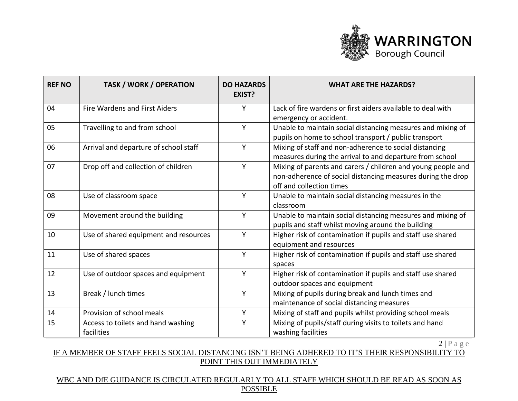

| <b>REF NO</b> | <b>TASK / WORK / OPERATION</b>                   | <b>DO HAZARDS</b><br><b>EXIST?</b> | <b>WHAT ARE THE HAZARDS?</b>                                                                                                                            |
|---------------|--------------------------------------------------|------------------------------------|---------------------------------------------------------------------------------------------------------------------------------------------------------|
| 04            | <b>Fire Wardens and First Aiders</b>             | Y                                  | Lack of fire wardens or first aiders available to deal with<br>emergency or accident.                                                                   |
| 05            | Travelling to and from school                    | Y                                  | Unable to maintain social distancing measures and mixing of<br>pupils on home to school transport / public transport                                    |
| 06            | Arrival and departure of school staff            | Y                                  | Mixing of staff and non-adherence to social distancing<br>measures during the arrival to and departure from school                                      |
| 07            | Drop off and collection of children              | Y                                  | Mixing of parents and carers / children and young people and<br>non-adherence of social distancing measures during the drop<br>off and collection times |
| 08            | Use of classroom space                           | Y                                  | Unable to maintain social distancing measures in the<br>classroom                                                                                       |
| 09            | Movement around the building                     | Y                                  | Unable to maintain social distancing measures and mixing of<br>pupils and staff whilst moving around the building                                       |
| 10            | Use of shared equipment and resources            | Y                                  | Higher risk of contamination if pupils and staff use shared<br>equipment and resources                                                                  |
| 11            | Use of shared spaces                             | Y                                  | Higher risk of contamination if pupils and staff use shared<br>spaces                                                                                   |
| 12            | Use of outdoor spaces and equipment              | Y                                  | Higher risk of contamination if pupils and staff use shared<br>outdoor spaces and equipment                                                             |
| 13            | Break / lunch times                              | Y                                  | Mixing of pupils during break and lunch times and<br>maintenance of social distancing measures                                                          |
| 14            | Provision of school meals                        | Y                                  | Mixing of staff and pupils whilst providing school meals                                                                                                |
| 15            | Access to toilets and hand washing<br>facilities | Y                                  | Mixing of pupils/staff during visits to toilets and hand<br>washing facilities                                                                          |

## IF A MEMBER OF STAFF FEELS SOCIAL DISTANCING ISN'T BEING ADHERED TO IT'S THEIR RESPONSIBILITY TO POINT THIS OUT IMMEDIATELY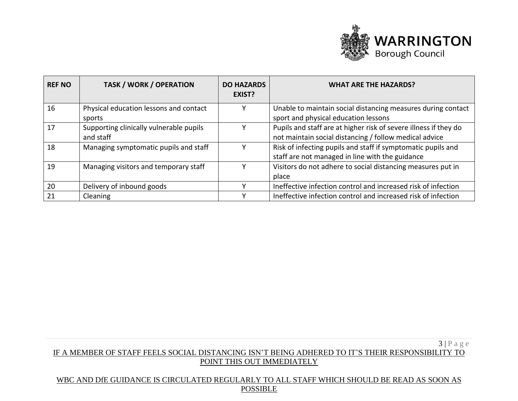

| <b>REF NO</b> | <b>TASK / WORK / OPERATION</b>                       | <b>DO HAZARDS</b><br>EXIST? | <b>WHAT ARE THE HAZARDS?</b>                                                                                               |
|---------------|------------------------------------------------------|-----------------------------|----------------------------------------------------------------------------------------------------------------------------|
| 16            | Physical education lessons and contact<br>sports     |                             | Unable to maintain social distancing measures during contact<br>sport and physical education lessons                       |
| 17            | Supporting clinically vulnerable pupils<br>and staff |                             | Pupils and staff are at higher risk of severe illness if they do<br>not maintain social distancing / follow medical advice |
| 18            | Managing symptomatic pupils and staff                |                             | Risk of infecting pupils and staff if symptomatic pupils and<br>staff are not managed in line with the guidance            |
| 19            | Managing visitors and temporary staff                |                             | Visitors do not adhere to social distancing measures put in<br>place                                                       |
| 20            | Delivery of inbound goods                            |                             | Ineffective infection control and increased risk of infection                                                              |
| 21            | Cleaning                                             |                             | Ineffective infection control and increased risk of infection                                                              |

## 3 | P a g e IF A MEMBER OF STAFF FEELS SOCIAL DISTANCING ISN'T BEING ADHERED TO IT'S THEIR RESPONSIBILITY TO POINT THIS OUT IMMEDIATELY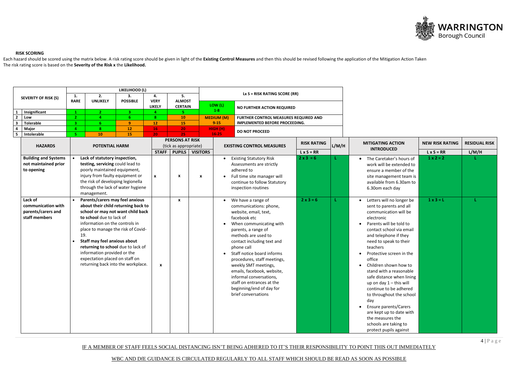IF A MEMBER OF STAFF FEELS SOCIAL DISTANCING ISN'T BEING ADHERED TO IT'S THEIR RESPONSIBILITY TO POINT THIS OUT IMMEDIATELY

WBC AND DfE GUIDANCE IS CIRCULATED REGULARLY TO ALL STAFF WHICH SHOULD BE READ AS SOON AS POSSIBLE



### **RISK SCORING**

Each hazard should be scored using the matrix below. A risk rating score should be given in light of the Existing Control Measures and then this should be revised following the application of the Mitigation Action Taken The risk rating score is based on the **Severity of the Risk x** the **Likelihood.**

|                               |                                     |                |     |                                                                 | LIKELIHOOD (L)        |                                    |                        |                   |                       |                                            |                    |       |                                     |                        |                      |
|-------------------------------|-------------------------------------|----------------|-----|-----------------------------------------------------------------|-----------------------|------------------------------------|------------------------|-------------------|-----------------------|--------------------------------------------|--------------------|-------|-------------------------------------|------------------------|----------------------|
|                               | <b>SEVERITY OF RISK (S)</b>         | 1.             |     | 2.                                                              | 3.                    | 4.                                 | 5.                     |                   |                       | Lx $S = RISK RATING SCORE (RR)$            |                    |       |                                     |                        |                      |
|                               |                                     | <b>RARE</b>    |     | <b>UNLIKELY</b>                                                 | <b>POSSIBLE</b>       | <b>VERY</b>                        | <b>ALMOST</b>          |                   |                       |                                            |                    |       |                                     |                        |                      |
|                               |                                     |                |     |                                                                 |                       | <b>LIKELY</b>                      | <b>CERTAIN</b>         |                   | LOW (L)<br>$1-8$      | <b>NO FURTHER ACTION REQUIRED</b>          |                    |       |                                     |                        |                      |
| 1                             | Insignificant                       | $\mathbf{1}$   |     |                                                                 | 3 <sup>1</sup>        | 4                                  | 5.                     |                   |                       |                                            |                    |       |                                     |                        |                      |
| $\overline{2}$                | Low                                 | 2 <sup>1</sup> |     |                                                                 | 6 <sup>1</sup>        | 8                                  | <b>10</b>              | <b>MEDIUM (M)</b> |                       | FURTHER CONTROL MEASURES REQUIRED AND      |                    |       |                                     |                        |                      |
| $\overline{\mathbf{3}}$       | <b>Tolerable</b>                    | з              |     | 6                                                               | 9                     | 12                                 | 15                     | $9 - 15$          |                       | IMPLEMENTED BEFORE PROCEEDING.             |                    |       |                                     |                        |                      |
| $\overline{a}$<br>$5^{\circ}$ | <b>Major</b><br>Intolerable         |                |     | -8<br>10 <sub>1</sub>                                           | 12 <sub>2</sub><br>15 | 16 <sub>1</sub><br>20 <sub>1</sub> | 20<br>25 <sub>1</sub>  |                   | HIGH (H)<br>$16 - 25$ | <b>DO NOT PROCEED</b>                      |                    |       |                                     |                        |                      |
|                               |                                     |                |     |                                                                 |                       |                                    | <b>PERSONS AT RISK</b> |                   |                       |                                            |                    |       |                                     |                        |                      |
|                               | <b>HAZARDS</b>                      |                |     | <b>POTENTIAL HARM</b>                                           |                       |                                    | (tick as appropriate)  |                   |                       | <b>EXISTING CONTROL MEASURES</b>           | <b>RISK RATING</b> | L/M/H | <b>MITIGATING ACTION</b>            | <b>NEW RISK RATING</b> | <b>RESIDUAL RISK</b> |
|                               |                                     |                |     |                                                                 |                       | <b>STAFF</b>                       | PUPILS                 |                   | <b>VISITORS</b>       |                                            | $L \times S = RR$  |       | <b>INTRODUCED</b>                   | $L \times S = RR$      | L/M/H                |
|                               |                                     |                |     |                                                                 |                       |                                    |                        |                   |                       |                                            | $2 \times 3 = 6$   |       |                                     | $1 x 2 = 2$            |                      |
|                               | <b>Building and Systems</b>         |                |     | Lack of statutory inspection,                                   |                       |                                    |                        |                   |                       | <b>Existing Statutory Risk</b>             |                    |       | The Caretaker's hours of            |                        |                      |
|                               | not maintained prior                |                |     | testing, servicing could lead to                                |                       |                                    |                        |                   |                       | Assessments are strictly                   |                    |       | work will be extended to            |                        |                      |
|                               | to opening                          |                |     | poorly maintained equipment,<br>injury from faulty equipment or |                       |                                    |                        |                   |                       | adhered to                                 |                    |       | ensure a member of the              |                        |                      |
|                               |                                     |                |     | the risk of developing legionella                               |                       | $\pmb{\mathsf{x}}$                 | X                      | X                 |                       | Full time site manager will                |                    |       | site management team is             |                        |                      |
|                               |                                     |                |     | through the lack of water hygiene                               |                       |                                    |                        |                   |                       | continue to follow Statutory               |                    |       | available from 6.30am to            |                        |                      |
|                               |                                     |                |     | management.                                                     |                       |                                    |                        |                   |                       | inspection routines                        |                    |       | 6.30om each day                     |                        |                      |
|                               | Lack of                             |                |     | Parents/carers may feel anxious                                 |                       |                                    |                        |                   |                       |                                            | $2x3=6$            |       |                                     | $1 \times 3 = L$       |                      |
|                               | communication with                  |                |     | about their child returning back to                             |                       |                                    | X                      |                   |                       | We have a range of                         |                    |       | Letters will no longer be           |                        |                      |
|                               |                                     |                |     |                                                                 |                       |                                    |                        |                   |                       | communications: phone,                     |                    |       | sent to parents and all             |                        |                      |
|                               | parents/carers and<br>staff members |                |     | school or may not want child back<br>to school due to lack of   |                       |                                    |                        |                   |                       | website, email, text,<br>facebook etc      |                    |       | communication will be<br>electronic |                        |                      |
|                               |                                     |                |     | information on the controls in                                  |                       |                                    |                        |                   |                       |                                            |                    |       | Parents will be told to             |                        |                      |
|                               |                                     |                |     | place to manage the risk of Covid-                              |                       |                                    |                        |                   |                       | When communicating with                    |                    |       | contact school via email            |                        |                      |
|                               |                                     |                | 19. |                                                                 |                       |                                    |                        |                   |                       | parents, a range of<br>methods are used to |                    |       | and telephone if they               |                        |                      |
|                               |                                     |                |     | Staff may feel anxious about                                    |                       |                                    |                        |                   |                       | contact including text and                 |                    |       | need to speak to their              |                        |                      |
|                               |                                     |                |     | returning to school due to lack of                              |                       |                                    |                        |                   |                       | phone call                                 |                    |       | teachers                            |                        |                      |
|                               |                                     |                |     | information provided or the                                     |                       |                                    |                        |                   |                       | Staff notice board informs                 |                    |       | Protective screen in the            |                        |                      |
|                               |                                     |                |     | expectation placed on staff on                                  |                       |                                    |                        |                   |                       | procedures, staff meetings,                |                    |       | office                              |                        |                      |
|                               |                                     |                |     | returning back into the workplace.                              |                       | $\boldsymbol{x}$                   |                        |                   |                       | weekly SMT meetings,                       |                    |       | Children shown how to               |                        |                      |
|                               |                                     |                |     |                                                                 |                       |                                    |                        |                   |                       | emails, facebook, website,                 |                    |       | stand with a reasonable             |                        |                      |
|                               |                                     |                |     |                                                                 |                       |                                    |                        |                   |                       | informal conversations,                    |                    |       | safe distance when lining           |                        |                      |
|                               |                                     |                |     |                                                                 |                       |                                    |                        |                   |                       | staff on entrances at the                  |                    |       | up on day 1 - this will             |                        |                      |
|                               |                                     |                |     |                                                                 |                       |                                    |                        |                   |                       | beginning/end of day for                   |                    |       | continue to be adhered              |                        |                      |
|                               |                                     |                |     |                                                                 |                       |                                    |                        |                   |                       | brief conversations                        |                    |       | to throughout the school            |                        |                      |
|                               |                                     |                |     |                                                                 |                       |                                    |                        |                   |                       |                                            |                    |       | day                                 |                        |                      |
|                               |                                     |                |     |                                                                 |                       |                                    |                        |                   |                       |                                            |                    |       | <b>Ensure parents/Carers</b>        |                        |                      |
|                               |                                     |                |     |                                                                 |                       |                                    |                        |                   |                       |                                            |                    |       | are kept up to date with            |                        |                      |
|                               |                                     |                |     |                                                                 |                       |                                    |                        |                   |                       |                                            |                    |       | the measures the                    |                        |                      |
|                               |                                     |                |     |                                                                 |                       |                                    |                        |                   |                       |                                            |                    |       | schools are taking to               |                        |                      |
|                               |                                     |                |     |                                                                 |                       |                                    |                        |                   |                       |                                            |                    |       | protect pupils against              |                        |                      |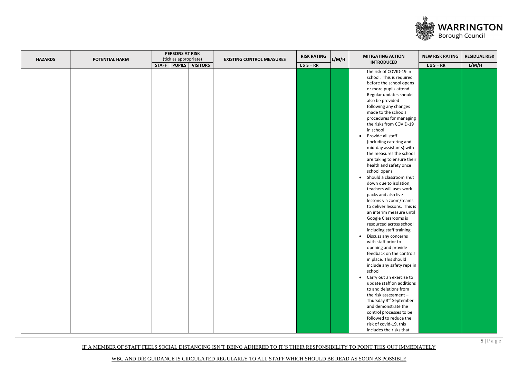IF A MEMBER OF STAFF FEELS SOCIAL DISTANCING ISN'T BEING ADHERED TO IT'S THEIR RESPONSIBILITY TO POINT THIS OUT IMMEDIATELY



|                |                       |              | <b>PERSONS AT RISK</b> |                 |                                  | <b>RISK RATING</b> |       | <b>MITIGATING ACTION</b>              |                                             | <b>RESIDUAL RISK</b> |
|----------------|-----------------------|--------------|------------------------|-----------------|----------------------------------|--------------------|-------|---------------------------------------|---------------------------------------------|----------------------|
| <b>HAZARDS</b> | <b>POTENTIAL HARM</b> |              | (tick as appropriate)  |                 | <b>EXISTING CONTROL MEASURES</b> |                    | L/M/H | <b>INTRODUCED</b>                     |                                             |                      |
|                |                       | <b>STAFF</b> | <b>PUPILS</b>          | <b>VISITORS</b> |                                  | $L \times S = RR$  |       |                                       | <b>NEW RISK RATING</b><br>$L \times S = RR$ | L/M/H                |
|                |                       |              |                        |                 |                                  |                    |       | the risk of COVID-19 in               |                                             |                      |
|                |                       |              |                        |                 |                                  |                    |       | school. This is required              |                                             |                      |
|                |                       |              |                        |                 |                                  |                    |       | before the school opens               |                                             |                      |
|                |                       |              |                        |                 |                                  |                    |       | or more pupils attend.                |                                             |                      |
|                |                       |              |                        |                 |                                  |                    |       | Regular updates should                |                                             |                      |
|                |                       |              |                        |                 |                                  |                    |       | also be provided                      |                                             |                      |
|                |                       |              |                        |                 |                                  |                    |       | following any changes                 |                                             |                      |
|                |                       |              |                        |                 |                                  |                    |       | made to the schools                   |                                             |                      |
|                |                       |              |                        |                 |                                  |                    |       | procedures for managing               |                                             |                      |
|                |                       |              |                        |                 |                                  |                    |       | the risks from COVID-19               |                                             |                      |
|                |                       |              |                        |                 |                                  |                    |       | in school                             |                                             |                      |
|                |                       |              |                        |                 |                                  |                    |       | Provide all staff<br>$\bullet$        |                                             |                      |
|                |                       |              |                        |                 |                                  |                    |       | (including catering and               |                                             |                      |
|                |                       |              |                        |                 |                                  |                    |       | mid-day assistants) with              |                                             |                      |
|                |                       |              |                        |                 |                                  |                    |       | the measures the school               |                                             |                      |
|                |                       |              |                        |                 |                                  |                    |       | are taking to ensure their            |                                             |                      |
|                |                       |              |                        |                 |                                  |                    |       | health and safety once                |                                             |                      |
|                |                       |              |                        |                 |                                  |                    |       | school opens                          |                                             |                      |
|                |                       |              |                        |                 |                                  |                    |       | Should a classroom shut<br>$\bullet$  |                                             |                      |
|                |                       |              |                        |                 |                                  |                    |       | down due to isolation,                |                                             |                      |
|                |                       |              |                        |                 |                                  |                    |       | teachers will uses work               |                                             |                      |
|                |                       |              |                        |                 |                                  |                    |       |                                       |                                             |                      |
|                |                       |              |                        |                 |                                  |                    |       | packs and also live                   |                                             |                      |
|                |                       |              |                        |                 |                                  |                    |       | lessons via zoom/teams                |                                             |                      |
|                |                       |              |                        |                 |                                  |                    |       | to deliver lessons. This is           |                                             |                      |
|                |                       |              |                        |                 |                                  |                    |       | an interim measure until              |                                             |                      |
|                |                       |              |                        |                 |                                  |                    |       | Google Classrooms is                  |                                             |                      |
|                |                       |              |                        |                 |                                  |                    |       | resourced across school               |                                             |                      |
|                |                       |              |                        |                 |                                  |                    |       | including staff training              |                                             |                      |
|                |                       |              |                        |                 |                                  |                    |       | Discuss any concerns                  |                                             |                      |
|                |                       |              |                        |                 |                                  |                    |       | with staff prior to                   |                                             |                      |
|                |                       |              |                        |                 |                                  |                    |       | opening and provide                   |                                             |                      |
|                |                       |              |                        |                 |                                  |                    |       | feedback on the controls              |                                             |                      |
|                |                       |              |                        |                 |                                  |                    |       | in place. This should                 |                                             |                      |
|                |                       |              |                        |                 |                                  |                    |       | include any safety reps in            |                                             |                      |
|                |                       |              |                        |                 |                                  |                    |       | school                                |                                             |                      |
|                |                       |              |                        |                 |                                  |                    |       | Carry out an exercise to<br>$\bullet$ |                                             |                      |
|                |                       |              |                        |                 |                                  |                    |       | update staff on additions             |                                             |                      |
|                |                       |              |                        |                 |                                  |                    |       | to and deletions from                 |                                             |                      |
|                |                       |              |                        |                 |                                  |                    |       | the risk assessment -                 |                                             |                      |
|                |                       |              |                        |                 |                                  |                    |       | Thursday 3rd September                |                                             |                      |
|                |                       |              |                        |                 |                                  |                    |       | and demonstrate the                   |                                             |                      |
|                |                       |              |                        |                 |                                  |                    |       | control processes to be               |                                             |                      |
|                |                       |              |                        |                 |                                  |                    |       | followed to reduce the                |                                             |                      |
|                |                       |              |                        |                 |                                  |                    |       | risk of covid-19, this                |                                             |                      |
|                |                       |              |                        |                 |                                  |                    |       | includes the risks that               |                                             |                      |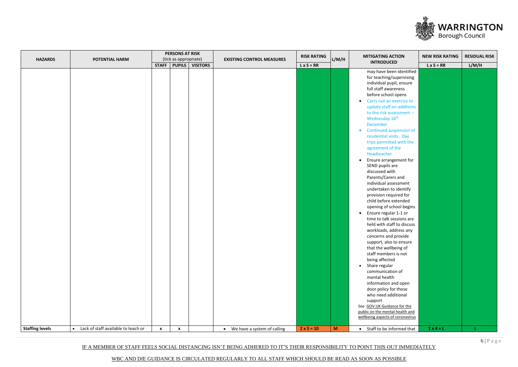IF A MEMBER OF STAFF FEELS SOCIAL DISTANCING ISN'T BEING ADHERED TO IT'S THEIR RESPONSIBILITY TO POINT THIS OUT IMMEDIATELY



|                        |                                       |              | <b>PERSONS AT RISK</b> |                 |                                  | <b>RISK RATING</b> |       | <b>MITIGATING ACTION</b>                                                                                                                                                                                                                                                                                                                                                                                                                                                                                                                                                                                                                                                                                                                                                                                                                                                                                                                                                                                                                                                                                                                                              |                                             | <b>RESIDUAL RISK</b> |
|------------------------|---------------------------------------|--------------|------------------------|-----------------|----------------------------------|--------------------|-------|-----------------------------------------------------------------------------------------------------------------------------------------------------------------------------------------------------------------------------------------------------------------------------------------------------------------------------------------------------------------------------------------------------------------------------------------------------------------------------------------------------------------------------------------------------------------------------------------------------------------------------------------------------------------------------------------------------------------------------------------------------------------------------------------------------------------------------------------------------------------------------------------------------------------------------------------------------------------------------------------------------------------------------------------------------------------------------------------------------------------------------------------------------------------------|---------------------------------------------|----------------------|
| <b>HAZARDS</b>         | POTENTIAL HARM                        |              | (tick as appropriate)  |                 | <b>EXISTING CONTROL MEASURES</b> |                    | L/M/H | <b>INTRODUCED</b>                                                                                                                                                                                                                                                                                                                                                                                                                                                                                                                                                                                                                                                                                                                                                                                                                                                                                                                                                                                                                                                                                                                                                     |                                             |                      |
|                        |                                       |              |                        |                 |                                  |                    |       |                                                                                                                                                                                                                                                                                                                                                                                                                                                                                                                                                                                                                                                                                                                                                                                                                                                                                                                                                                                                                                                                                                                                                                       | <b>NEW RISK RATING</b><br>$L \times S = RR$ |                      |
|                        |                                       | STAFF PUPILS |                        | <b>VISITORS</b> |                                  | $L \times S = RR$  |       | may have been identified<br>for teaching/supervising<br>individual pupil, ensure<br>full staff awareness<br>before school opens<br>Carry out an exercise to<br>$\bullet$<br>update staff on additions<br>to the risk assessment -<br>Wednesday 16 <sup>th</sup><br><b>December</b><br>Continued suspension of<br>$\bullet$<br>residential visits. Day<br>trips permitted with the<br>agreement of the<br>Headteacher<br>Ensure arrangement for<br>$\bullet$<br>SEND pupils are<br>discussed with<br>Parents/Carers and<br>individual assessment<br>undertaken to identify<br>provision required for<br>child before extended<br>opening of school begins<br>Ensure regular 1-1 or<br>$\bullet$<br>time to talk sessions are<br>held with staff to discuss<br>workloads, address any<br>concerns and provide<br>support, also to ensure<br>that the wellbeing of<br>staff members is not<br>being affected<br>Share regular<br>$\bullet$<br>communication of<br>mental health<br>information and open<br>door policy for those<br>who need additional<br>support<br>See GOV.UK Guidance for the<br>public on the mental health and<br>wellbeing aspects of coronavirus |                                             | L/M/H                |
|                        |                                       |              |                        |                 |                                  |                    |       |                                                                                                                                                                                                                                                                                                                                                                                                                                                                                                                                                                                                                                                                                                                                                                                                                                                                                                                                                                                                                                                                                                                                                                       |                                             |                      |
| <b>Staffing levels</b> | • Lack of staff available to teach or | $\mathbf{x}$ | $\boldsymbol{x}$       |                 | • We have a system of calling    | $2 \times 5 = 10$  | M     | • Staff to be informed that                                                                                                                                                                                                                                                                                                                                                                                                                                                                                                                                                                                                                                                                                                                                                                                                                                                                                                                                                                                                                                                                                                                                           | $1 \times 4 = L$                            | L.                   |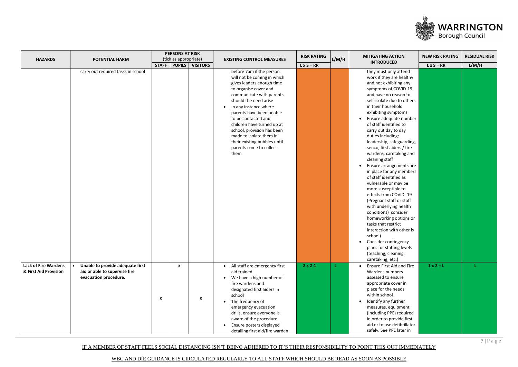IF A MEMBER OF STAFF FEELS SOCIAL DISTANCING ISN'T BEING ADHERED TO IT'S THEIR RESPONSIBILITY TO POINT THIS OUT IMMEDIATELY



| <b>HAZARDS</b>                                       | POTENTIAL HARM                                                                             |                           | <b>PERSONS AT RISK</b><br>(tick as appropriate) |                           | <b>EXISTING CONTROL MEASURES</b>                                                                                                                                                                                                                                                                                                                                                                         | <b>RISK RATING</b> | L/M/H | <b>MITIGATING ACTION</b>                                                                                                                                                                                                                                                                                                                                                                                                                                                                                                                                                                                                                                                                                                                                                                                                                                        | <b>NEW RISK RATING</b> | <b>RESIDUAL RISK</b> |
|------------------------------------------------------|--------------------------------------------------------------------------------------------|---------------------------|-------------------------------------------------|---------------------------|----------------------------------------------------------------------------------------------------------------------------------------------------------------------------------------------------------------------------------------------------------------------------------------------------------------------------------------------------------------------------------------------------------|--------------------|-------|-----------------------------------------------------------------------------------------------------------------------------------------------------------------------------------------------------------------------------------------------------------------------------------------------------------------------------------------------------------------------------------------------------------------------------------------------------------------------------------------------------------------------------------------------------------------------------------------------------------------------------------------------------------------------------------------------------------------------------------------------------------------------------------------------------------------------------------------------------------------|------------------------|----------------------|
|                                                      |                                                                                            | <b>STAFF</b>              | $ $ PUPILS $ $                                  | <b>VISITORS</b>           |                                                                                                                                                                                                                                                                                                                                                                                                          | $L \times S = RR$  |       | <b>INTRODUCED</b>                                                                                                                                                                                                                                                                                                                                                                                                                                                                                                                                                                                                                                                                                                                                                                                                                                               | $L \times S = RR$      | L/M/H                |
|                                                      | carry out required tasks in school                                                         |                           |                                                 |                           | before 7am if the person<br>will not be coming in which<br>gives leaders enough time<br>to organise cover and<br>communicate with parents<br>should the need arise<br>In any instance where<br>parents have been unable<br>to be contacted and<br>children have turned up at<br>school, provision has been<br>made to isolate them in<br>their existing bubbles until<br>parents come to collect<br>them |                    |       | they must only attend<br>work if they are healthy<br>and not exhibiting any<br>symptoms of COVID-19<br>and have no reason to<br>self-isolate due to others<br>in their household<br>exhibiting symptoms<br>Ensure adequate number<br>of staff identified to<br>carry out day to day<br>duties including:<br>leadership, safeguarding,<br>senco, first aiders / fire<br>wardens, caretaking and<br>cleaning staff<br>Ensure arrangements are<br>in place for any members<br>of staff identified as<br>vulnerable or may be<br>more susceptible to<br>effects from COVID-19<br>(Pregnant staff or staff<br>with underlying health<br>conditions) consider<br>homeworking options or<br>tasks that restrict<br>interaction with other is<br>school)<br>Consider contingency<br>$\bullet$<br>plans for staffing levels<br>(teaching, cleaning,<br>caretaking, etc.) |                        |                      |
| <b>Lack of Fire Wardens</b><br>& First Aid Provision | Unable to provide adequate first<br>aid or able to supervise fire<br>evacuation procedure. | $\boldsymbol{\mathsf{x}}$ | $\mathbf{x}$                                    | $\boldsymbol{\mathsf{x}}$ | • All staff are emergency first<br>aid trained<br>• We have a high number of<br>fire wardens and<br>designated first aiders in<br>school<br>The frequency of<br>emergency evacuation<br>drills, ensure everyone is<br>aware of the procedure<br>Ensure posters displayed<br>detailing first aid/fire warden                                                                                              | 2 x 2 4            | ÷.    | Ensure First Aid and Fire<br>$\bullet$<br>Wardens numbers<br>assessed to ensure<br>appropriate cover in<br>place for the needs<br>within school<br>Identify any further<br>measures, equipment<br>(including PPE) required<br>in order to provide first<br>aid or to use defibrillator<br>safely. See PPE later in                                                                                                                                                                                                                                                                                                                                                                                                                                                                                                                                              | $1 \times 2 = L$       |                      |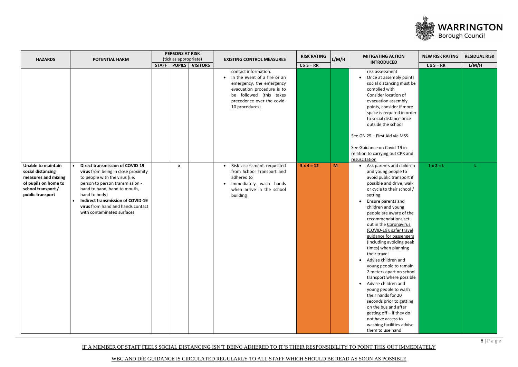IF A MEMBER OF STAFF FEELS SOCIAL DISTANCING ISN'T BEING ADHERED TO IT'S THEIR RESPONSIBILITY TO POINT THIS OUT IMMEDIATELY



| <b>HAZARDS</b>                                                                                                                          | <b>POTENTIAL HARM</b>                                                                                                                                                                                                                                                                                                           |              | <b>PERSONS AT RISK</b><br>(tick as appropriate) |                 | <b>EXISTING CONTROL MEASURES</b>                                                                                                                                                            | <b>RISK RATING</b> | L/M/H    | <b>MITIGATING ACTION</b>                                                                                                                                                                                                                                                                                                                                                                                                                                                                                                                                                                                                                                                                                                                               | <b>NEW RISK RATING</b>                | <b>RESIDUAL RISK</b> |
|-----------------------------------------------------------------------------------------------------------------------------------------|---------------------------------------------------------------------------------------------------------------------------------------------------------------------------------------------------------------------------------------------------------------------------------------------------------------------------------|--------------|-------------------------------------------------|-----------------|---------------------------------------------------------------------------------------------------------------------------------------------------------------------------------------------|--------------------|----------|--------------------------------------------------------------------------------------------------------------------------------------------------------------------------------------------------------------------------------------------------------------------------------------------------------------------------------------------------------------------------------------------------------------------------------------------------------------------------------------------------------------------------------------------------------------------------------------------------------------------------------------------------------------------------------------------------------------------------------------------------------|---------------------------------------|----------------------|
|                                                                                                                                         |                                                                                                                                                                                                                                                                                                                                 | <b>STAFF</b> | <b>PUPILS</b>                                   | <b>VISITORS</b> |                                                                                                                                                                                             | $L \times S = RR$  |          | <b>INTRODUCED</b>                                                                                                                                                                                                                                                                                                                                                                                                                                                                                                                                                                                                                                                                                                                                      | $L \times S = RR$<br>$1 \times 2 = L$ | L/M/H                |
|                                                                                                                                         |                                                                                                                                                                                                                                                                                                                                 |              |                                                 |                 | contact information.<br>• In the event of a fire or an<br>emergency, the emergency<br>evacuation procedure is to<br>be followed (this takes<br>precedence over the covid-<br>10 procedures) |                    |          | risk assessment<br>Once at assembly points<br>$\bullet$<br>social distancing must be<br>complied with<br>Consider location of<br>evacuation assembly<br>points, consider if more<br>space is required in order<br>to social distance once<br>outside the school                                                                                                                                                                                                                                                                                                                                                                                                                                                                                        |                                       |                      |
|                                                                                                                                         |                                                                                                                                                                                                                                                                                                                                 |              |                                                 |                 |                                                                                                                                                                                             |                    |          | See GN 25 - First Aid via MSS<br>See Guidance on Covid-19 in<br>relation to carrying out CPR and<br>resuscitation                                                                                                                                                                                                                                                                                                                                                                                                                                                                                                                                                                                                                                      |                                       |                      |
| <b>Unable to maintain</b><br>social distancing<br>measures and mixing<br>of pupils on home to<br>school transport /<br>public transport | <b>Direct transmission of COVID-19</b><br>virus from being in close proximity<br>to people with the virus (i.e.<br>person to person transmission -<br>hand to hand, hand to mouth,<br>hand to body)<br><b>Indirect transmission of COVID-19</b><br>$\bullet$<br>virus from hand and hands contact<br>with contaminated surfaces |              | $\mathbf{x}$                                    |                 | Risk assessment requested<br>$\bullet$<br>from School Transport and<br>adhered to<br>Immediately wash hands<br>when arrive in the school<br>building                                        | $3x4 = 12$         | <b>M</b> | Ask parents and children<br>and young people to<br>avoid public transport if<br>possible and drive, walk<br>or cycle to their school /<br>setting<br>Ensure parents and<br>children and young<br>people are aware of the<br>recommendations set<br>out in the Coronavirus<br>(COVID-19): safer travel<br>guidance for passengers<br>(including avoiding peak<br>times) when planning<br>their travel<br>Advise children and<br>$\bullet$<br>young people to remain<br>2 meters apart on school<br>transport where possible<br>Advise children and<br>young people to wash<br>their hands for 20<br>seconds prior to getting<br>on the bus and after<br>getting off - if they do<br>not have access to<br>washing facilities advise<br>them to use hand |                                       |                      |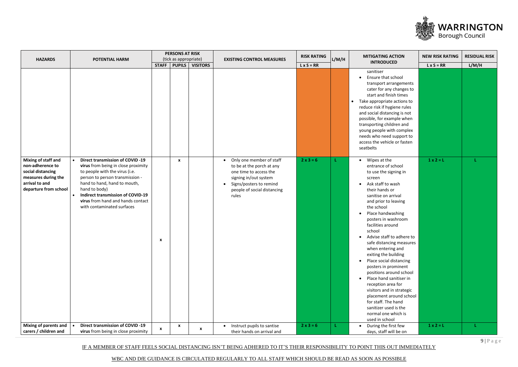IF A MEMBER OF STAFF FEELS SOCIAL DISTANCING ISN'T BEING ADHERED TO IT'S THEIR RESPONSIBILITY TO POINT THIS OUT IMMEDIATELY



|                                                                                                                                |                                                                                                                                                                                                                                                                                                                                  |              | <b>PERSONS AT RISK</b> |                           |                                                                                                                                                                             | <b>RISK RATING</b> |       | <b>MITIGATING ACTION</b>                                                                                                                                                                                                                                                                                                                                                                                                                                                                                                                                                                                                                                             |                                                                                     | <b>RESIDUAL RISK</b> |
|--------------------------------------------------------------------------------------------------------------------------------|----------------------------------------------------------------------------------------------------------------------------------------------------------------------------------------------------------------------------------------------------------------------------------------------------------------------------------|--------------|------------------------|---------------------------|-----------------------------------------------------------------------------------------------------------------------------------------------------------------------------|--------------------|-------|----------------------------------------------------------------------------------------------------------------------------------------------------------------------------------------------------------------------------------------------------------------------------------------------------------------------------------------------------------------------------------------------------------------------------------------------------------------------------------------------------------------------------------------------------------------------------------------------------------------------------------------------------------------------|-------------------------------------------------------------------------------------|----------------------|
| <b>HAZARDS</b>                                                                                                                 | <b>POTENTIAL HARM</b>                                                                                                                                                                                                                                                                                                            |              | (tick as appropriate)  |                           | <b>EXISTING CONTROL MEASURES</b>                                                                                                                                            |                    | L/M/H | <b>INTRODUCED</b>                                                                                                                                                                                                                                                                                                                                                                                                                                                                                                                                                                                                                                                    |                                                                                     |                      |
|                                                                                                                                |                                                                                                                                                                                                                                                                                                                                  | <b>STAFF</b> | <b>PUPILS</b>          | <b>VISITORS</b>           |                                                                                                                                                                             | $L \times S = RR$  |       |                                                                                                                                                                                                                                                                                                                                                                                                                                                                                                                                                                                                                                                                      | <b>NEW RISK RATING</b><br>$L \times S = RR$<br>$1 \times 2 = L$<br>$1 \times 2 = L$ | L/M/H                |
|                                                                                                                                |                                                                                                                                                                                                                                                                                                                                  |              |                        |                           |                                                                                                                                                                             |                    |       | sanitiser<br>Ensure that school<br>$\bullet$<br>transport arrangements<br>cater for any changes to<br>start and finish times<br>• Take appropriate actions to<br>reduce risk if hygiene rules<br>and social distancing is not<br>possible, for example when<br>transporting children and<br>young people with complex<br>needs who need support to<br>access the vehicle or fasten<br>seatbelts                                                                                                                                                                                                                                                                      |                                                                                     |                      |
| Mixing of staff and<br>non-adherence to<br>social distancing<br>measures during the<br>arrival to and<br>departure from school | <b>Direct transmission of COVID -19</b><br>$\bullet$<br>virus from being in close proximity<br>to people with the virus (i.e.<br>person to person transmission -<br>hand to hand, hand to mouth,<br>hand to body)<br><b>Indirect transmission of COVID-19</b><br>virus from hand and hands contact<br>with contaminated surfaces | X            | $\mathbf{x}$           |                           | Only one member of staff<br>to be at the porch at any<br>one time to access the<br>signing in/out system<br>Signs/posters to remind<br>people of social distancing<br>rules | $2 \times 3 = 6$   |       | Wipes at the<br>$\bullet$<br>entrance of school<br>to use the signing in<br>screen<br>Ask staff to wash<br>their hands or<br>sanitise on arrival<br>and prior to leaving<br>the school<br>Place handwashing<br>posters in washroom<br>facilities around<br>school<br>Advise staff to adhere to<br>safe distancing measures<br>when entering and<br>exiting the building<br>Place social distancing<br>$\bullet$<br>posters in prominent<br>positions around school<br>Place hand sanitiser in<br>reception area for<br>visitors and in strategic<br>placement around school<br>for staff. The hand<br>sanitizer used is the<br>normal one which is<br>used in school |                                                                                     |                      |
| Mixing of parents and<br>carers / children and                                                                                 | <b>Direct transmission of COVID -19</b><br>virus from being in close proximity                                                                                                                                                                                                                                                   | X            | X                      | $\boldsymbol{\mathsf{x}}$ | Instruct pupils to santise<br>$\bullet$<br>their hands on arrival and                                                                                                       | $2 \times 3 = 6$   | л.    | During the first few<br>days, staff will be on                                                                                                                                                                                                                                                                                                                                                                                                                                                                                                                                                                                                                       |                                                                                     | L.                   |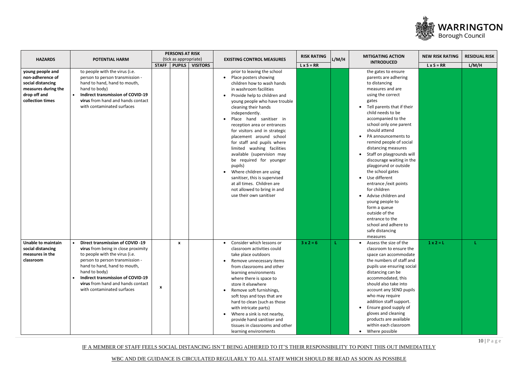WBC AND DfE GUIDANCE IS CIRCULATED REGULARLY TO ALL STAFF WHICH SHOULD BE READ AS SOON AS POSSIBLE



|                                                                                                                      |                                                                                                                                                                                                                                                                                                                                  |   | <b>PERSONS AT RISK</b> |                 |                                                                                                                                                                                                                                                                                                                                                                                                                                                                                                                                                                                                                                      | <b>RISK RATING</b> |       | <b>MITIGATING ACTION</b>                                                                                                                                                                                                                                                                                                                                                                                                                                                                                                                                                                                                            | <b>NEW RISK RATING</b> | <b>RESIDUAL RISK</b> |
|----------------------------------------------------------------------------------------------------------------------|----------------------------------------------------------------------------------------------------------------------------------------------------------------------------------------------------------------------------------------------------------------------------------------------------------------------------------|---|------------------------|-----------------|--------------------------------------------------------------------------------------------------------------------------------------------------------------------------------------------------------------------------------------------------------------------------------------------------------------------------------------------------------------------------------------------------------------------------------------------------------------------------------------------------------------------------------------------------------------------------------------------------------------------------------------|--------------------|-------|-------------------------------------------------------------------------------------------------------------------------------------------------------------------------------------------------------------------------------------------------------------------------------------------------------------------------------------------------------------------------------------------------------------------------------------------------------------------------------------------------------------------------------------------------------------------------------------------------------------------------------------|------------------------|----------------------|
| <b>HAZARDS</b>                                                                                                       | <b>POTENTIAL HARM</b>                                                                                                                                                                                                                                                                                                            |   | (tick as appropriate)  |                 | <b>EXISTING CONTROL MEASURES</b>                                                                                                                                                                                                                                                                                                                                                                                                                                                                                                                                                                                                     |                    | L/M/H | <b>INTRODUCED</b>                                                                                                                                                                                                                                                                                                                                                                                                                                                                                                                                                                                                                   |                        |                      |
|                                                                                                                      |                                                                                                                                                                                                                                                                                                                                  |   | STAFF   PUPILS         | <b>VISITORS</b> |                                                                                                                                                                                                                                                                                                                                                                                                                                                                                                                                                                                                                                      | $L \times S = RR$  |       |                                                                                                                                                                                                                                                                                                                                                                                                                                                                                                                                                                                                                                     | $L \times S = RR$      | L/M/H                |
| young people and<br>non-adherence of<br>social distancing<br>measures during the<br>drop off and<br>collection times | to people with the virus (i.e.<br>person to person transmission -<br>hand to hand, hand to mouth,<br>hand to body)<br>Indirect transmission of COVID-19<br>$\bullet$<br>virus from hand and hands contact<br>with contaminated surfaces                                                                                          |   |                        |                 | prior to leaving the school<br>• Place posters showing<br>children how to wash hands<br>in washroom facilities<br>Provide help to children and<br>young people who have trouble<br>cleaning their hands<br>independently.<br>Place hand sanitiser in<br>reception area or entrances<br>for visitors and in strategic<br>placement around school<br>for staff and pupils where<br>limited washing facilities<br>available (supervision may<br>be required for younger<br>pupils)<br>Where children are using<br>sanitiser, this is supervised<br>at all times. Children are<br>not allowed to bring in and<br>use their own sanitiser |                    |       | the gates to ensure<br>parents are adhering<br>to distancing<br>measures and are<br>using the correct<br>gates<br>Tell parents that if their<br>child needs to be<br>accompanied to the<br>school only one parent<br>should attend<br>PA announcements to<br>remind people of social<br>distancing measures<br>Staff on playgrounds will<br>discourage waiting in the<br>playgorund or outside<br>the school gates<br>Use different<br>entrance / exit points<br>for children<br>Advise children and<br>young people to<br>form a queue<br>outside of the<br>entrance to the<br>school and adhere to<br>safe distancing<br>measures |                        |                      |
| <b>Unable to maintain</b><br>social distancing<br>measures in the<br>classroom                                       | <b>Direct transmission of COVID -19</b><br>$\bullet$<br>virus from being in close proximity<br>to people with the virus (i.e.<br>person to person transmission -<br>hand to hand, hand to mouth,<br>hand to body)<br><b>Indirect transmission of COVID-19</b><br>virus from hand and hands contact<br>with contaminated surfaces | X | X                      |                 | Consider which lessons or<br>$\bullet$<br>classroom activities could<br>take place outdoors<br>Remove unnecessary items<br>from classrooms and other<br>learning environments<br>where there is space to<br>store it elsewhere<br>Remove soft furnishings,<br>soft toys and toys that are<br>hard to clean (such as those<br>with intricate parts)<br>Where a sink is not nearby,<br>provide hand sanitiser and<br>tissues in classrooms and other<br>learning environments                                                                                                                                                          | $3x2=6$            |       | • Assess the size of the<br>classroom to ensure the<br>space can accommodate<br>the numbers of staff and<br>pupils use ensuring social<br>distancing can be<br>accommodated, this<br>should also take into<br>account any SEND pupils<br>who may require<br>addition staff support.<br>Ensure good supply of<br>gloves and cleaning<br>products are available<br>within each classroom<br>Where possible<br>$\bullet$                                                                                                                                                                                                               | $1 \times 2 = L$       |                      |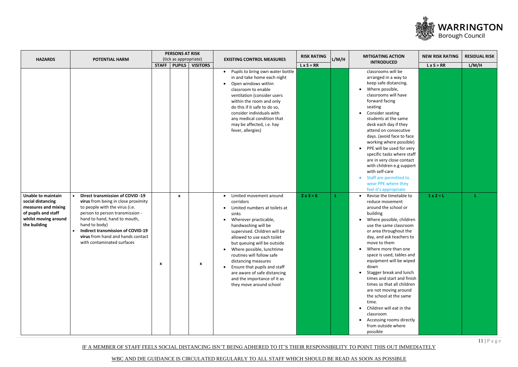WBC AND DfE GUIDANCE IS CIRCULATED REGULARLY TO ALL STAFF WHICH SHOULD BE READ AS SOON AS POSSIBLE



| <b>HAZARDS</b>                                                                                                                       | POTENTIAL HARM                                                                                                                                                                                                                                                                                                      |                                      | <b>PERSONS AT RISK</b><br>(tick as appropriate) | <b>EXISTING CONTROL MEASURES</b>                                                                                                                                                                                                                                                                                                                                                                                                       | <b>RISK RATING</b> | L/M/H | <b>MITIGATING ACTION</b>                                                                                                                                                                                                                                                                                                                                                                                                                                                                                                                                                              | <b>NEW RISK RATING</b>                | <b>RESIDUAL RISK</b> |
|--------------------------------------------------------------------------------------------------------------------------------------|---------------------------------------------------------------------------------------------------------------------------------------------------------------------------------------------------------------------------------------------------------------------------------------------------------------------|--------------------------------------|-------------------------------------------------|----------------------------------------------------------------------------------------------------------------------------------------------------------------------------------------------------------------------------------------------------------------------------------------------------------------------------------------------------------------------------------------------------------------------------------------|--------------------|-------|---------------------------------------------------------------------------------------------------------------------------------------------------------------------------------------------------------------------------------------------------------------------------------------------------------------------------------------------------------------------------------------------------------------------------------------------------------------------------------------------------------------------------------------------------------------------------------------|---------------------------------------|----------------------|
|                                                                                                                                      |                                                                                                                                                                                                                                                                                                                     | <b>PUPILS</b><br><b>STAFF</b>        | <b>VISITORS</b>                                 |                                                                                                                                                                                                                                                                                                                                                                                                                                        | $L \times S = RR$  |       | <b>INTRODUCED</b>                                                                                                                                                                                                                                                                                                                                                                                                                                                                                                                                                                     | $L \times S = RR$<br>$1 \times 2 = L$ | L/M/H                |
|                                                                                                                                      |                                                                                                                                                                                                                                                                                                                     |                                      |                                                 | Pupils to bring own water bottle<br>in and take home each night<br>Open windows within<br>classroom to enable<br>ventilation (consider users<br>within the room and only<br>do this if it safe to do so,<br>consider individuals with<br>any medical condition that<br>may be affected, i.e. hay<br>fever, allergies)                                                                                                                  |                    |       | classrooms will be<br>arranged in a way to<br>keep safe distancing.<br>Where possible,<br>classrooms will have<br>forward facing<br>seating<br>Consider seating<br>students at the same<br>desk each day if they<br>attend on consecutive<br>days. (avoid face to face<br>working where possible)<br>PPE will be used for very<br>$\bullet$<br>specific tasks where staff<br>are in very close contact<br>with children e.g support<br>with self-care<br>Staff are permitted to<br>wear PPE where they<br>feel it's appropriate                                                       |                                       |                      |
| <b>Unable to maintain</b><br>social distancing<br>measures and mixing<br>of pupils and staff<br>whilst moving around<br>the building | <b>Direct transmission of COVID -19</b><br>virus from being in close proximity<br>to people with the virus (i.e.<br>person to person transmission -<br>hand to hand, hand to mouth,<br>hand to body)<br><b>Indirect transmission of COVID-19</b><br>virus from hand and hands contact<br>with contaminated surfaces | $\boldsymbol{x}$<br>$\boldsymbol{x}$ | $\boldsymbol{\mathsf{x}}$                       | Limited movement around<br>corridors<br>Limited numbers at toilets at<br>sinks<br>Wherever practicable,<br>handwashing will be<br>supervised. Children will be<br>allowed to use each toilet<br>but queuing will be outside<br>Where possible, lunchtime<br>routines will follow safe<br>distancing measures<br>Ensure that pupils and staff<br>are aware of safe distancing<br>and the importance of it as<br>they move around school | $2x3=6$            | л.    | Revise the timetable to<br>$\bullet$<br>reduce movement<br>around the school or<br>building<br>Where possible, children<br>use the same classroom<br>or area throughout the<br>day, and ask teachers to<br>move to them<br>Where more than one<br>space is used, tables and<br>equipment will be wiped<br>down<br>Stagger break and lunch<br>times and start and finish<br>times so that all children<br>are not moving around<br>the school at the same<br>time.<br>Children will eat in the<br>$\bullet$<br>classroom<br>Accessing rooms directly<br>from outside where<br>possible |                                       |                      |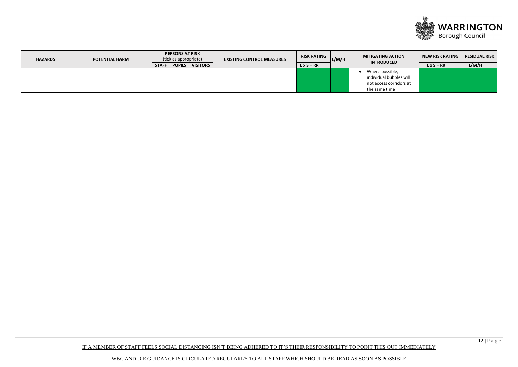WBC AND DfE GUIDANCE IS CIRCULATED REGULARLY TO ALL STAFF WHICH SHOULD BE READ AS SOON AS POSSIBLE



| <b>HAZARDS</b> | <b>POTENTIAL HARM</b> | <b>PERSONS AT RISK</b><br>(tick as appropriate)  | <b>EXISTING CONTROL MEASURES</b> | <b>RISK RATING</b> | L/M/H | <b>MITIGATING ACTION</b><br><b>INTRODUCED</b> | <b>NEW RISK RATING</b> | <b>RESIDUAL RISK</b> |
|----------------|-----------------------|--------------------------------------------------|----------------------------------|--------------------|-------|-----------------------------------------------|------------------------|----------------------|
|                |                       | <b>VISITORS</b><br><b>PUPILS</b><br><b>STAFF</b> |                                  | $L \times S = RR$  |       |                                               | $L \times S = RR$      | L/M/H                |
|                |                       |                                                  |                                  |                    |       | Where possible,                               |                        |                      |
|                |                       |                                                  |                                  |                    |       | individual bubbles will                       |                        |                      |
|                |                       |                                                  |                                  |                    |       | not access corridors at                       |                        |                      |
|                |                       |                                                  |                                  |                    |       | the same time                                 |                        |                      |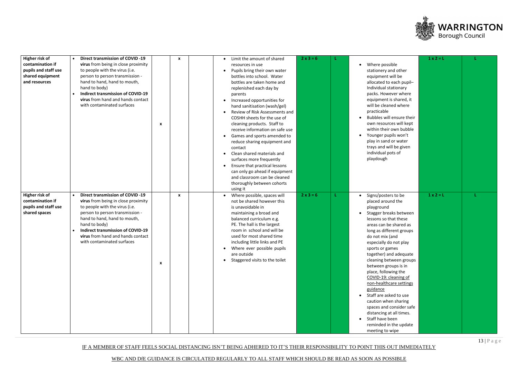WBC AND DfE GUIDANCE IS CIRCULATED REGULARLY TO ALL STAFF WHICH SHOULD BE READ AS SOON AS POSSIBLE



| Higher risk of<br>contamination if<br>pupils and staff use<br>shared equipment<br>and resources | <b>Direct transmission of COVID -19</b><br>$\bullet$<br>virus from being in close proximity<br>to people with the virus (i.e.<br>person to person transmission -<br>hand to hand, hand to mouth,<br>hand to body)<br><b>Indirect transmission of COVID-19</b><br>virus from hand and hands contact<br>with contaminated surfaces | x<br>x                                    | Limit the amount of shared<br>$\bullet$<br>resources in use<br>Pupils bring their own water<br>bottles into school. Water<br>bottles are taken home and<br>replenished each day by<br>parents<br>Increased opportunities for<br>$\bullet$<br>hand sanitisation (wash/gel)<br>Review of Risk Assessments and<br>COSHH sheets for the use of<br>cleaning products. Staff to<br>receive information on safe use<br>Games and sports amended to<br>reduce sharing equipment and<br>contact<br>Clean shared materials and<br>surfaces more frequently<br>Ensure that practical lessons<br>can only go ahead if equipment<br>and classroom can be cleaned<br>thoroughly between cohorts<br>using it | $2x3=6$ | Where possible<br>stationery and other<br>equipment will be<br>allocated to each pupil-<br>Individual stationary<br>packs. However where<br>equipment is shared, it<br>will be cleaned where<br>practicable<br>Bubbles will ensure their<br>own resources will kept<br>within their own bubble<br>Younger pupils won't<br>play in sand or water<br>trays and will be given<br>individual pots of<br>playdough                                                                                                                                                                  | $1 \times 2 = L$ |  |
|-------------------------------------------------------------------------------------------------|----------------------------------------------------------------------------------------------------------------------------------------------------------------------------------------------------------------------------------------------------------------------------------------------------------------------------------|-------------------------------------------|-----------------------------------------------------------------------------------------------------------------------------------------------------------------------------------------------------------------------------------------------------------------------------------------------------------------------------------------------------------------------------------------------------------------------------------------------------------------------------------------------------------------------------------------------------------------------------------------------------------------------------------------------------------------------------------------------|---------|--------------------------------------------------------------------------------------------------------------------------------------------------------------------------------------------------------------------------------------------------------------------------------------------------------------------------------------------------------------------------------------------------------------------------------------------------------------------------------------------------------------------------------------------------------------------------------|------------------|--|
| Higher risk of<br>contamination if<br>pupils and staff use<br>shared spaces                     | <b>Direct transmission of COVID -19</b><br>$\bullet$<br>virus from being in close proximity<br>to people with the virus (i.e.<br>person to person transmission -<br>hand to hand, hand to mouth,<br>hand to body)<br><b>Indirect transmission of COVID-19</b><br>virus from hand and hands contact<br>with contaminated surfaces | $\mathbf{x}$<br>$\boldsymbol{\mathsf{x}}$ | • Where possible, spaces will<br>not be shared however this<br>is unavoidable in<br>maintaining a broad and<br>balanced curriculum e.g.<br>PE. The hall is the largest<br>room in school and will be<br>used for most shared time<br>including little links and PE<br>Where ever possible pupils<br>are outside<br>Staggered visits to the toilet<br>$\bullet$                                                                                                                                                                                                                                                                                                                                | $2x3=6$ | Signs/posters to be<br>placed around the<br>playground<br>Stagger breaks between<br>lessons so that these<br>areas can be shared as<br>long as different groups<br>do not mix (and<br>especially do not play<br>sports or games<br>together) and adequate<br>cleaning between groups<br>between groups is in<br>place, following the<br>COVID-19: cleaning of<br>non-healthcare settings<br>guidance<br>Staff are asked to use<br>caution when sharing<br>spaces and consider safe<br>distancing at all times.<br>Staff have been<br>reminded in the update<br>meeting to wipe | $1 \times 2 = L$ |  |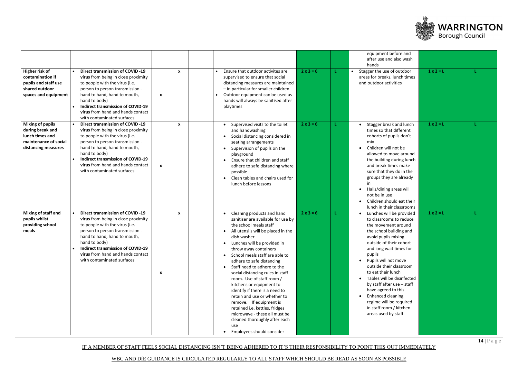IF A MEMBER OF STAFF FEELS SOCIAL DISTANCING ISN'T BEING ADHERED TO IT'S THEIR RESPONSIBILITY TO POINT THIS OUT IMMEDIATELY



|                                                                                                                |                                                                                                                                                                                                                                                                                                                     |                  |              |                                                                                                                                                                                                                                                                                                                                                                                                                                                                                                                                                                                                                                             |                  | equipment before and<br>after use and also wash<br>hands                                                                                                                                                                                                                                                                                                                                                                                                   |                  |  |
|----------------------------------------------------------------------------------------------------------------|---------------------------------------------------------------------------------------------------------------------------------------------------------------------------------------------------------------------------------------------------------------------------------------------------------------------|------------------|--------------|---------------------------------------------------------------------------------------------------------------------------------------------------------------------------------------------------------------------------------------------------------------------------------------------------------------------------------------------------------------------------------------------------------------------------------------------------------------------------------------------------------------------------------------------------------------------------------------------------------------------------------------------|------------------|------------------------------------------------------------------------------------------------------------------------------------------------------------------------------------------------------------------------------------------------------------------------------------------------------------------------------------------------------------------------------------------------------------------------------------------------------------|------------------|--|
| Higher risk of<br>contamination if<br>pupils and staff use<br>shared outdoor<br>spaces and equipment           | <b>Direct transmission of COVID -19</b><br>virus from being in close proximity<br>to people with the virus (i.e.<br>person to person transmission -<br>hand to hand, hand to mouth,<br>hand to body)<br><b>Indirect transmission of COVID-19</b><br>virus from hand and hands contact<br>with contaminated surfaces | X                | $\mathbf{x}$ | Ensure that outdoor activites are<br>supervised to ensure that social<br>distancing measures are maintained<br>- in particular for smaller children<br>Outdoor equipment can be used as<br>hands will always be sanitised after<br>playtimes                                                                                                                                                                                                                                                                                                                                                                                                | $2 \times 3 = 6$ | Stagger the use of outdoor<br>areas for breaks, lunch times<br>and outdoor activities                                                                                                                                                                                                                                                                                                                                                                      | $1 \times 2 = L$ |  |
| <b>Mixing of pupils</b><br>during break and<br>lunch times and<br>maintenance of social<br>distancing measures | <b>Direct transmission of COVID -19</b><br>virus from being in close proximity<br>to people with the virus (i.e.<br>person to person transmission -<br>hand to hand, hand to mouth,<br>hand to body)<br><b>Indirect transmission of COVID-19</b><br>virus from hand and hands contact<br>with contaminated surfaces | $\boldsymbol{x}$ | $\mathbf{x}$ | Supervised visits to the toilet<br>and handwashing<br>Social distancing considered in<br>seating arrangements<br>Supervision of pupils on the<br>playground<br>Ensure that children and staff<br>adhere to safe distancing where<br>possible<br>Clean tables and chairs used for<br>lunch before lessons                                                                                                                                                                                                                                                                                                                                    | $2 \times 3 = 6$ | Stagger break and lunch<br>times so that different<br>cohorts of pupils don't<br>mix<br>Children will not be<br>allowed to move around<br>the building during lunch<br>and break times make<br>sure that they do in the<br>groups they are already<br>Halls/dining areas will<br>not be in use<br>Children should eat their<br>lunch in their classrooms                                                                                                   | $1 \times 2 = L$ |  |
| Mixing of staff and<br>pupils whilst<br>providing school<br>meals                                              | <b>Direct transmission of COVID -19</b><br>virus from being in close proximity<br>to people with the virus (i.e.<br>person to person transmission -<br>hand to hand, hand to mouth,<br>hand to body)<br><b>Indirect transmission of COVID-19</b><br>virus from hand and hands contact<br>with contaminated surfaces | X                | X            | • Cleaning products and hand<br>sanitiser are available for use by<br>the school meals staff<br>All utensils will be placed in the<br>dish washer<br>• Lunches will be provided in<br>throw away containers<br>School meals staff are able to<br>adhere to safe distancing<br>Staff need to adhere to the<br>social distancing rules in staff<br>room. Use of staff room /<br>kitchens or equipment to<br>identify if there is a need to<br>retain and use or whether to<br>remove. If equipment is<br>retained i.e. kettles, fridges<br>microwave - these all must be<br>cleaned thoroughly after each<br>use<br>Employees should consider | $2x3=6$          | Lunches will be provided<br>to classrooms to reduce<br>the movement around<br>the school building and<br>avoid pupils mixing<br>outside of their cohort<br>and long wait times for<br>pupils<br>Pupils will not move<br>outside their classroom<br>to eat their lunch<br>Tables will be disinfected<br>by staff after use - staff<br>have agreed to this<br>Enhanced cleaning<br>regime will be required<br>in staff room / kitchen<br>areas used by staff | $1 \times 2 = L$ |  |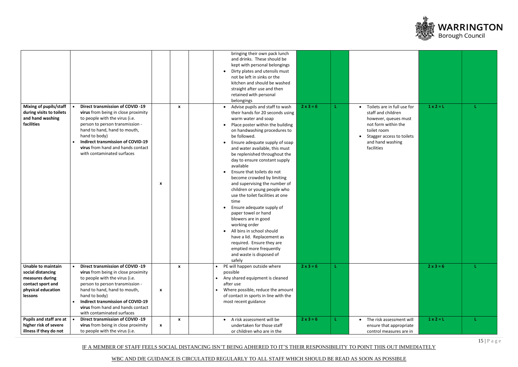WBC AND DfE GUIDANCE IS CIRCULATED REGULARLY TO ALL STAFF WHICH SHOULD BE READ AS SOON AS POSSIBLE



|                                                                                                                                      |                                                                                                                                                                                                                                                                                                                     |                   | bringing their own pack lunch<br>and drinks. These should be<br>kept with personal belongings<br>Dirty plates and utensils must<br>not be left in sinks or the<br>kitchen and should be washed<br>straight after use and then<br>retained with personal<br>belongings                                                                                                                                                                                                                                                                                                                                                                                                                                                                                           |                  |                                                                                                                                                                                             |                  |  |
|--------------------------------------------------------------------------------------------------------------------------------------|---------------------------------------------------------------------------------------------------------------------------------------------------------------------------------------------------------------------------------------------------------------------------------------------------------------------|-------------------|-----------------------------------------------------------------------------------------------------------------------------------------------------------------------------------------------------------------------------------------------------------------------------------------------------------------------------------------------------------------------------------------------------------------------------------------------------------------------------------------------------------------------------------------------------------------------------------------------------------------------------------------------------------------------------------------------------------------------------------------------------------------|------------------|---------------------------------------------------------------------------------------------------------------------------------------------------------------------------------------------|------------------|--|
| <b>Mixing of pupils/staff</b><br>during visits to toilets<br>and hand washing<br>facilities                                          | <b>Direct transmission of COVID -19</b><br>virus from being in close proximity<br>to people with the virus (i.e.<br>person to person transmission -<br>hand to hand, hand to mouth,<br>hand to body)<br><b>Indirect transmission of COVID-19</b><br>virus from hand and hands contact<br>with contaminated surfaces | X<br>X            | Advise pupils and staff to wash<br>their hands for 20 seconds using<br>warm water and soap<br>Place poster within the building<br>on handwashing procedures to<br>be followed.<br>Ensure adequate supply of soap<br>and water available, this must<br>be replenished throughout the<br>day to ensure constant supply<br>available<br>Ensure that toilets do not<br>become crowded by limiting<br>and supervising the number of<br>children or young people who<br>use the toilet facilities at one<br>time<br>Ensure adequate supply of<br>paper towel or hand<br>blowers are in good<br>working order<br>All bins in school should<br>have a lid. Replacement as<br>required. Ensure they are<br>emptied more frequently<br>and waste is disposed of<br>safely | $2x3=6$          | Toilets are in full use for<br>$\bullet$<br>staff and children<br>however, queues must<br>not form within the<br>toilet room<br>Stagger access to toilets<br>and hand washing<br>facilities | $1 \times 2 = L$ |  |
| <b>Unable to maintain</b><br>$\bullet$<br>social distancing<br>measures during<br>contact sport and<br>physical education<br>lessons | <b>Direct transmission of COVID -19</b><br>virus from being in close proximity<br>to people with the virus (i.e.<br>person to person transmission -<br>hand to hand, hand to mouth,<br>hand to body)<br><b>Indirect transmission of COVID-19</b><br>virus from hand and hands contact<br>with contaminated surfaces | $\mathbf{x}$<br>X | PE will happen outside where<br>possible<br>Any shared equipment is cleaned<br>after use<br>Where possible, reduce the amount<br>of contact in sports in line with the<br>most recent guidance                                                                                                                                                                                                                                                                                                                                                                                                                                                                                                                                                                  | $2 \times 3 = 6$ |                                                                                                                                                                                             | $2 \times 3 = 6$ |  |
| <b>Pupils and staff are at</b><br>higher risk of severe<br>illness if they do not                                                    | <b>Direct transmission of COVID -19</b><br>virus from being in close proximity<br>to people with the virus (i.e.                                                                                                                                                                                                    | $\mathbf{x}$<br>X | A risk assessment will be<br>$\bullet$<br>undertaken for those staff<br>or children who are in the                                                                                                                                                                                                                                                                                                                                                                                                                                                                                                                                                                                                                                                              | $2 \times 3 = 6$ | The risk assessment will<br>$\bullet$<br>ensure that appropriate<br>control measures are in                                                                                                 | $1 \times 2 = L$ |  |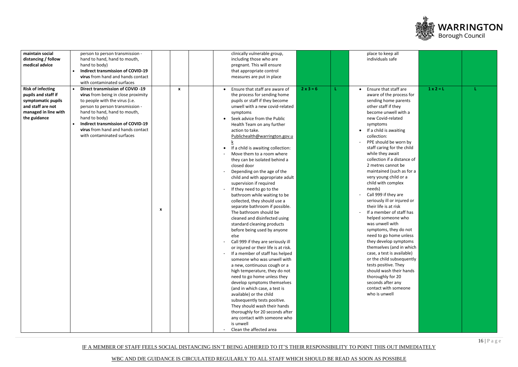WBC AND DfE GUIDANCE IS CIRCULATED REGULARLY TO ALL STAFF WHICH SHOULD BE READ AS SOON AS POSSIBLE



| maintain social<br>clinically vulnerable group,<br>place to keep all<br>person to person transmission -<br>individuals safe<br>distancing / follow<br>hand to hand, hand to mouth,<br>including those who are<br>medical advice<br>pregnant. This will ensure<br>hand to body)<br><b>Indirect transmission of COVID-19</b><br>that appropriate control<br>virus from hand and hands contact<br>measures are put in place<br>with contaminated surfaces                                                                                                                                                                                                                                                                                                                                                                                                                                                                                                                                                                                                                                                                                                                                                                                                                                                                                                                                                                                                                                                                                                                                                                                                                                                                                                                                                                                                                                                                                                                                                                                                                                                                                                                                                                                                                                                                                                                                                                                                                                                                                                                                                                                                 |  |
|--------------------------------------------------------------------------------------------------------------------------------------------------------------------------------------------------------------------------------------------------------------------------------------------------------------------------------------------------------------------------------------------------------------------------------------------------------------------------------------------------------------------------------------------------------------------------------------------------------------------------------------------------------------------------------------------------------------------------------------------------------------------------------------------------------------------------------------------------------------------------------------------------------------------------------------------------------------------------------------------------------------------------------------------------------------------------------------------------------------------------------------------------------------------------------------------------------------------------------------------------------------------------------------------------------------------------------------------------------------------------------------------------------------------------------------------------------------------------------------------------------------------------------------------------------------------------------------------------------------------------------------------------------------------------------------------------------------------------------------------------------------------------------------------------------------------------------------------------------------------------------------------------------------------------------------------------------------------------------------------------------------------------------------------------------------------------------------------------------------------------------------------------------------------------------------------------------------------------------------------------------------------------------------------------------------------------------------------------------------------------------------------------------------------------------------------------------------------------------------------------------------------------------------------------------------------------------------------------------------------------------------------------------|--|
| $1 \times 2 = L$<br><b>Risk of infecting</b><br><b>Direct transmission of COVID -19</b><br>$2x3=6$<br>Ensure that staff are aware of<br>Ensure that staff are<br>$\mathbf{x}$<br>pupils and staff if<br>virus from being in close proximity<br>the process for sending home<br>aware of the process for<br>symptomatic pupils<br>to people with the virus (i.e.<br>pupils or staff if they become<br>sending home parents<br>and staff are not<br>unwell with a new covid-related<br>other staff if they<br>person to person transmission -<br>managed in line with<br>hand to hand, hand to mouth,<br>become unwell with a<br>symptoms<br>the guidance<br>hand to body)<br>new Covid-related<br>Seek advice from the Public<br><b>Indirect transmission of COVID-19</b><br>Health Team on any further<br>symptoms<br>virus from hand and hands contact<br>action to take.<br>If a child is awaiting<br>with contaminated surfaces<br>Publichealth@warrington.gov.u<br>collection:<br>PPE should be worn by<br>staff caring for the child<br>If a child is awaiting collection:<br>while they await<br>Move them to a room where<br>collection if a distance of<br>they can be isolated behind a<br>2 metres cannot be<br>closed door<br>maintained (such as for a<br>Depending on the age of the<br>very young child or a<br>child and with appropriate adult<br>child with complex<br>supervision if required<br>If they need to go to the<br>needs)<br>Call 999 if they are<br>bathroom while waiting to be<br>seriously ill or injured or<br>collected, they should use a<br>their life is at risk<br>separate bathroom if possible.<br>X<br>If a member of staff has<br>The bathroom should be<br>helped someone who<br>cleaned and disinfected using<br>was unwell with<br>standard cleaning products<br>symptoms, they do not<br>before being used by anyone<br>need to go home unless<br>else<br>Call 999 if they are seriously ill<br>they develop symptoms<br>themselves (and in which<br>or injured or their life is at risk.<br>case, a test is available)<br>If a member of staff has helped<br>or the child subsequently<br>someone who was unwell with<br>tests positive. They<br>a new, continuous cough or a<br>should wash their hands<br>high temperature, they do not<br>thoroughly for 20<br>need to go home unless they<br>seconds after any<br>develop symptoms themselves<br>contact with someone<br>(and in which case, a test is<br>who is unwell<br>available) or the child<br>subsequently tests positive.<br>They should wash their hands<br>thoroughly for 20 seconds after<br>any contact with someone who<br>is unwell |  |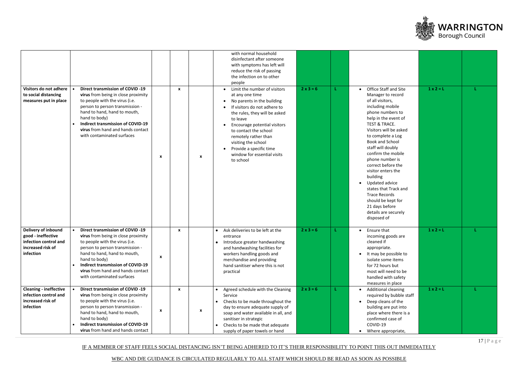WBC AND DfE GUIDANCE IS CIRCULATED REGULARLY TO ALL STAFF WHICH SHOULD BE READ AS SOON AS POSSIBLE



| Visitors do not adhere<br>to social distancing<br>measures put in place                              | <b>Direct transmission of COVID -19</b><br>virus from being in close proximity<br>to people with the virus (i.e.<br>person to person transmission -<br>hand to hand, hand to mouth,<br>hand to body)<br><b>Indirect transmission of COVID-19</b><br>virus from hand and hands contact<br>with contaminated surfaces              |                           | $\mathbf{x}$ |   | with normal household<br>disinfectant after someone<br>with symptoms has left will<br>reduce the risk of passing<br>the infection on to other<br>people<br>• Limit the number of visitors<br>at any one time<br>No parents in the building<br>If visitors do not adhere to<br>the rules, they will be asked<br>to leave<br>Encourage potential visitors<br>to contact the school<br>remotely rather than | $2x3=6$     | <b>Office Staff and Site</b><br>Manager to record<br>of all visitors,<br>including mobile<br>phone numbers to<br>help in the event of<br><b>TEST &amp; TRACE.</b><br>Visitors will be asked<br>to complete a Log                                                                               | $1 \times 2 = L$ |  |
|------------------------------------------------------------------------------------------------------|----------------------------------------------------------------------------------------------------------------------------------------------------------------------------------------------------------------------------------------------------------------------------------------------------------------------------------|---------------------------|--------------|---|----------------------------------------------------------------------------------------------------------------------------------------------------------------------------------------------------------------------------------------------------------------------------------------------------------------------------------------------------------------------------------------------------------|-------------|------------------------------------------------------------------------------------------------------------------------------------------------------------------------------------------------------------------------------------------------------------------------------------------------|------------------|--|
|                                                                                                      |                                                                                                                                                                                                                                                                                                                                  | X                         |              | X | visiting the school<br>Provide a specific time<br>window for essential visits<br>to school                                                                                                                                                                                                                                                                                                               |             | <b>Book and School</b><br>staff will doubly<br>confirm the mobile<br>phone number is<br>correct before the<br>visitor enters the<br>building<br>Updated advice<br>states that Track and<br><b>Trace Records</b><br>should be kept for<br>21 days before<br>details are securely<br>disposed of |                  |  |
| Delivery of inbound<br>good - ineffective<br>infection control and<br>increased risk of<br>infection | <b>Direct transmission of COVID -19</b><br>$\bullet$<br>virus from being in close proximity<br>to people with the virus (i.e.<br>person to person transmission -<br>hand to hand, hand to mouth,<br>hand to body)<br><b>Indirect transmission of COVID-19</b><br>virus from hand and hands contact<br>with contaminated surfaces | $\boldsymbol{\mathsf{x}}$ | $\mathbf{x}$ |   | Ask deliveries to be left at the<br>entrance<br>Introduce greater handwashing<br>and handwashing facilities for<br>workers handling goods and<br>merchandise and providing<br>hand sanitiser where this is not<br>practical                                                                                                                                                                              | $2x3=6$     | Ensure that<br>$\bullet$<br>incoming goods are<br>cleaned if<br>appropriate.<br>It may be possible to<br>isolate some items<br>for 72 hours but<br>most will need to be<br>handled with safety<br>measures in place                                                                            | $1 \times 2 = L$ |  |
| <b>Cleaning - ineffective</b><br>infection control and<br>increased risk of<br>infection             | <b>Direct transmission of COVID -19</b><br>virus from being in close proximity<br>to people with the virus (i.e.<br>person to person transmission -<br>hand to hand, hand to mouth,<br>hand to body)<br><b>Indirect transmission of COVID-19</b><br>virus from hand and hands contact                                            | X                         | $\mathbf{x}$ | X | Agreed schedule with the Cleaning<br>Service<br>Checks to be made throughout the<br>day to ensure adequate supply of<br>soap and water available in all, and<br>sanitiser in strategic<br>Checks to be made that adequate<br>supply of paper towels or hand                                                                                                                                              | $2 x 3 = 6$ | <b>Additional cleaning</b><br>required by bubble staff<br>Deep cleans of the<br>building are put into<br>place where there is a<br>confirmed case of<br>COVID-19<br>Where appropriate,<br>$\bullet$                                                                                            | $1 \times 2 = L$ |  |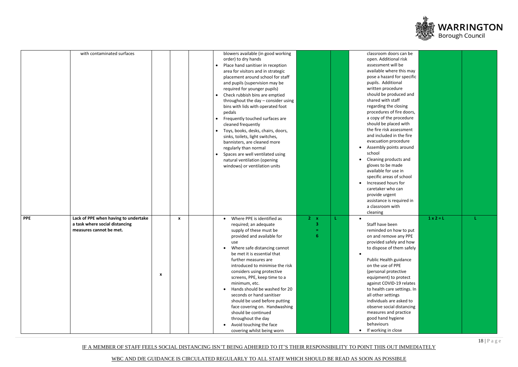WBC AND DfE GUIDANCE IS CIRCULATED REGULARLY TO ALL STAFF WHICH SHOULD BE READ AS SOON AS POSSIBLE



| with contaminated surfaces                         |                           | blowers available (in good working  |            | classroom doors can be      |                  |  |
|----------------------------------------------------|---------------------------|-------------------------------------|------------|-----------------------------|------------------|--|
|                                                    |                           | order) to dry hands                 |            | open. Additional risk       |                  |  |
|                                                    |                           | Place hand sanitiser in reception   |            | assessment will be          |                  |  |
|                                                    |                           | area for visitors and in strategic  |            | available where this may    |                  |  |
|                                                    |                           | placement around school for staff   |            | pose a hazard for specific  |                  |  |
|                                                    |                           | and pupils (supervision may be      |            | pupils. Additional          |                  |  |
|                                                    |                           | required for younger pupils)        |            | written procedure           |                  |  |
|                                                    |                           | Check rubbish bins are emptied      |            | should be produced and      |                  |  |
|                                                    |                           | throughout the day - consider using |            | shared with staff           |                  |  |
|                                                    |                           | bins with lids with operated foot   |            | regarding the closing       |                  |  |
|                                                    |                           | pedals                              |            | procedures of fire doors,   |                  |  |
|                                                    |                           | Frequently touched surfaces are     |            | a copy of the procedure     |                  |  |
|                                                    |                           | cleaned frequently                  |            | should be placed with       |                  |  |
|                                                    |                           |                                     |            | the fire risk assessment    |                  |  |
|                                                    |                           | Toys, books, desks, chairs, doors,  |            | and included in the fire    |                  |  |
|                                                    |                           | sinks, toilets, light switches,     |            | evacuation procedure        |                  |  |
|                                                    |                           | bannisters, are cleaned more        |            |                             |                  |  |
|                                                    |                           | regularly than normal               |            | Assembly points around      |                  |  |
|                                                    |                           | Spaces are well ventilated using    |            | school                      |                  |  |
|                                                    |                           | natural ventilation (opening        |            | Cleaning products and       |                  |  |
|                                                    |                           | windows) or ventilation units       |            | gloves to be made           |                  |  |
|                                                    |                           |                                     |            | available for use in        |                  |  |
|                                                    |                           |                                     |            | specific areas of school    |                  |  |
|                                                    |                           |                                     |            | Increased hours for         |                  |  |
|                                                    |                           |                                     |            | caretaker who can           |                  |  |
|                                                    |                           |                                     |            | provide urgent              |                  |  |
|                                                    |                           |                                     |            | assistance is required in   |                  |  |
|                                                    |                           |                                     |            | a classroom with            |                  |  |
|                                                    |                           |                                     |            | cleaning                    |                  |  |
| <b>PPE</b><br>Lack of PPE when having to undertake | $\boldsymbol{\mathsf{x}}$ | Where PPE is identified as          | $2 \times$ |                             | $1 \times 2 = L$ |  |
| a task where social distancing                     |                           | required; an adequate               | 3          | Staff have been             |                  |  |
| measures cannot be met.                            |                           | supply of these must be             | amar.      | reminded on how to put      |                  |  |
|                                                    |                           | provided and available for          | 6          | on and remove any PPE       |                  |  |
|                                                    |                           | use                                 |            | provided safely and how     |                  |  |
|                                                    |                           | Where safe distancing cannot        |            | to dispose of them safely   |                  |  |
|                                                    |                           | be met it is essential that         |            |                             |                  |  |
|                                                    |                           | further measures are                |            | Public Health guidance      |                  |  |
|                                                    |                           | introduced to minimise the risk     |            | on the use of PPE           |                  |  |
|                                                    |                           |                                     |            | (personal protective        |                  |  |
| X                                                  |                           | considers using protective          |            |                             |                  |  |
|                                                    |                           | screens, PPE, keep time to a        |            | equipment) to protect       |                  |  |
|                                                    |                           | minimum, etc.                       |            | against COVID-19 relates    |                  |  |
|                                                    |                           | Hands should be washed for 20       |            | to health care settings. In |                  |  |
|                                                    |                           | seconds or hand sanitiser           |            | all other settings          |                  |  |
|                                                    |                           | should be used before putting       |            | individuals are asked to    |                  |  |
|                                                    |                           | face covering on. Handwashing       |            | observe social distancing   |                  |  |
|                                                    |                           | should be continued                 |            | measures and practice       |                  |  |
|                                                    |                           | throughout the day                  |            | good hand hygiene           |                  |  |
|                                                    |                           | Avoid touching the face             |            | behaviours                  |                  |  |
|                                                    |                           | covering whilst being worn          |            | • If working in close       |                  |  |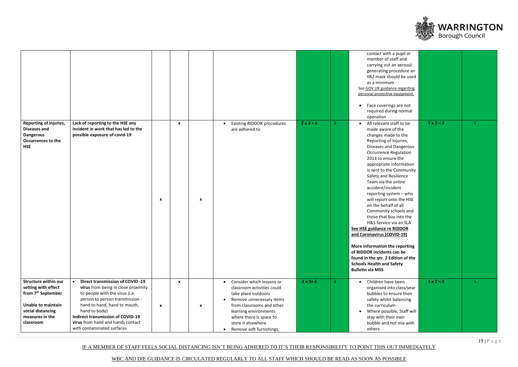IF A MEMBER OF STAFF FEELS SOCIAL DISTANCING ISN'T BEING ADHERED TO IT'S THEIR RESPONSIBILITY TO POINT THIS OUT IMMEDIATELY



| Reporting of injuries,<br><b>Diseases and</b><br><b>Dangerous</b><br><b>Occurrences to the</b><br><b>HSE</b>                                                           | Lack of reporting to the HSE any<br>incident in work that has led to the<br>possible exposure of covid-19                                                                                                                                                                                                                        | X                | $\boldsymbol{\mathsf{x}}$<br>X                | <b>Existing RIDDOR procedures</b><br>are adhered to                                                                                                                                                                                                        | $2 \times 3 = 6$ | contact with a pupil or<br>member of staff and<br>carrying out an aerosol<br>generating procedure an<br>IIR2 mask should be used<br>as a minimum<br>See GOV.UK guidance regarding<br>personal protective equipment.<br>Face coverings are not<br>required during normal<br>operation<br>All relevant staff to be<br>made aware of the<br>changes made to the<br>Reporting of Injuries,<br>Diseases and Dangerous<br><b>Occurrence Regulation</b><br>2013 to ensure the<br>appropriate information<br>is sent to the Community<br>Safety and Resilience<br>Team via the online<br>accident/incident<br>reporting system - who<br>will report onto the HSE<br>on the behalf of all<br>Community schools and<br>those that buy into the<br>H&S Service via an SLA<br>See HSE guidance re RIDDOR<br>and Coronavirus (COVID-19)<br>More information the reporting<br>of RIDDOR incidents can be<br>found in the qtr. 2 Edition of the<br><b>Schools Health and Safety</b><br><b>Bulletin via MSS</b> | $1 \times 2 = 2$ |  |
|------------------------------------------------------------------------------------------------------------------------------------------------------------------------|----------------------------------------------------------------------------------------------------------------------------------------------------------------------------------------------------------------------------------------------------------------------------------------------------------------------------------|------------------|-----------------------------------------------|------------------------------------------------------------------------------------------------------------------------------------------------------------------------------------------------------------------------------------------------------------|------------------|-------------------------------------------------------------------------------------------------------------------------------------------------------------------------------------------------------------------------------------------------------------------------------------------------------------------------------------------------------------------------------------------------------------------------------------------------------------------------------------------------------------------------------------------------------------------------------------------------------------------------------------------------------------------------------------------------------------------------------------------------------------------------------------------------------------------------------------------------------------------------------------------------------------------------------------------------------------------------------------------------|------------------|--|
| <b>Structure within our</b><br>setting with effect<br>from 7 <sup>th</sup> September<br><b>Unable to maintain</b><br>social distancing<br>measures in the<br>classroom | <b>Direct transmission of COVID -19</b><br>$\bullet$<br>virus from being in close proximity<br>to people with the virus (i.e.<br>person to person transmission -<br>hand to hand, hand to mouth,<br>hand to body)<br><b>Indirect transmission of COVID-19</b><br>virus from hand and hands contact<br>with contaminated surfaces | $\boldsymbol{x}$ | $\boldsymbol{\mathsf{x}}$<br>$\boldsymbol{x}$ | Consider which lessons or<br>classroom activities could<br>take place outdoors<br>Remove unnecessary items<br>from classrooms and other<br>learning environments<br>where there is space to<br>store it elsewhere<br>Remove soft furnishings,<br>$\bullet$ | $2 \times 3 = 6$ | Children have been<br>$\bullet$<br>organised into class/year<br>bubbles to ensure their<br>safety whilst balancing<br>the curriculum<br>Where possible, Staff will<br>stay with their own<br>bubble and not mix with<br>others                                                                                                                                                                                                                                                                                                                                                                                                                                                                                                                                                                                                                                                                                                                                                                  | $1 \times 2 = 2$ |  |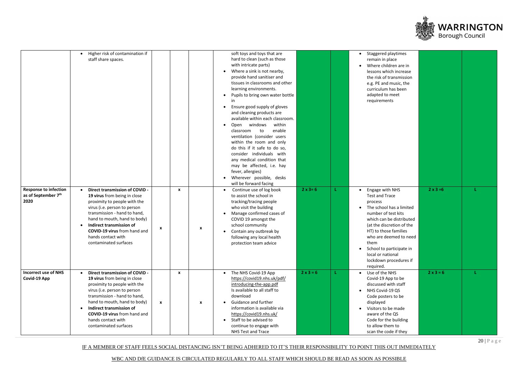WBC AND DfE GUIDANCE IS CIRCULATED REGULARLY TO ALL STAFF WHICH SHOULD BE READ AS SOON AS POSSIBLE



|                                                                         | Higher risk of contamination if<br>staff share spaces.                                                                                                                                                                                                                                                                        |              |              |                           | soft toys and toys that are<br>hard to clean (such as those<br>with intricate parts)<br>Where a sink is not nearby,<br>provide hand sanitiser and<br>tissues in classrooms and other<br>learning environments.<br>Pupils to bring own water bottle<br>in<br>Ensure good supply of gloves<br>and cleaning products are<br>available within each classroom.<br>within |                  | Staggered playtimes<br>remain in place<br>Where children are in<br>lessons which increase<br>the risk of transmission<br>e.g. PE and music, the<br>curriculum has been<br>adapted to meet<br>requirements                                                                                                                       |                  |  |
|-------------------------------------------------------------------------|-------------------------------------------------------------------------------------------------------------------------------------------------------------------------------------------------------------------------------------------------------------------------------------------------------------------------------|--------------|--------------|---------------------------|---------------------------------------------------------------------------------------------------------------------------------------------------------------------------------------------------------------------------------------------------------------------------------------------------------------------------------------------------------------------|------------------|---------------------------------------------------------------------------------------------------------------------------------------------------------------------------------------------------------------------------------------------------------------------------------------------------------------------------------|------------------|--|
|                                                                         |                                                                                                                                                                                                                                                                                                                               |              |              |                           | Open windows<br>to<br>enable<br>classroom<br>ventilation (consider users<br>within the room and only<br>do this if it safe to do so,<br>consider individuals with<br>any medical condition that<br>may be affected, i.e. hay<br>fever, allergies)<br>Wherever possible, desks<br>will be forward facing                                                             |                  |                                                                                                                                                                                                                                                                                                                                 |                  |  |
| <b>Response to infection</b><br>as of September 7 <sup>th</sup><br>2020 | Direct transmission of COVID -<br>$\bullet$<br>19 virus from being in close<br>proximity to people with the<br>virus (i.e. person to person<br>transmission - hand to hand,<br>hand to mouth, hand to body)<br>Indirect transmission of<br>COVID-19 virus from hand and<br>hands contact with<br>contaminated surfaces        | $\mathbf{x}$ | $\mathbf{x}$ | $\boldsymbol{\mathsf{x}}$ | Continue use of log book<br>to assist the school in<br>tracking/tracing people<br>who visit the building<br>Manage confirmed cases of<br>COVID 19 amongst the<br>school community<br>Contain any outbreak by<br>following any local health<br>protection team advice                                                                                                | $2 \times 3 = 6$ | Engage with NHS<br><b>Test and Trace</b><br>process<br>The school has a limited<br>number of test kits<br>which can be distributed<br>(at the discretion of the<br>HT) to those families<br>who are deemed to need<br>them<br>School to participate in<br>$\bullet$<br>local or national<br>lockdown procedures if<br>required. | $2 \times 3 = 6$ |  |
| <b>Incorrect use of NHS</b><br>Covid-19 App                             | Direct transmission of COVID -<br>19 virus from being in close<br>proximity to people with the<br>virus (i.e. person to person<br>transmission - hand to hand,<br>hand to mouth, hand to body)<br>Indirect transmission of<br>$\bullet$<br><b>COVID-19 virus</b> from hand and<br>hands contact with<br>contaminated surfaces | $\mathbf{x}$ | X            | $\boldsymbol{\mathsf{x}}$ | The NHS Covid-19 App<br>https://covid19.nhs.uk/pdf/<br>introducing-the-app.pdf<br>Is available to all staff to<br>download<br>Guidance and further<br>information is available via<br>https://covid19.nhs.uk/<br>Staff to be advised to<br>continue to engage with<br>NHS Test and Trace                                                                            | $2 \times 3 = 6$ | Use of the NHS<br>Covid-19 App to be<br>discussed with staff<br>NHS Covid-19 QS<br>$\bullet$<br>Code posters to be<br>displayed<br>Visitors to be made<br>aware of the QS<br>Code for the building<br>to allow them to<br>scan the code if they                                                                                 | $2 \times 3 = 6$ |  |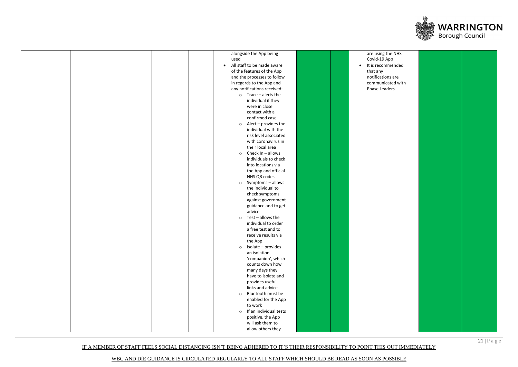IF A MEMBER OF STAFF FEELS SOCIAL DISTANCING ISN'T BEING ADHERED TO IT'S THEIR RESPONSIBILITY TO POINT THIS OUT IMMEDIATELY



| <b>NHS</b><br>ended  |  |
|----------------------|--|
| are<br>ed with<br>`S |  |
|                      |  |
|                      |  |
|                      |  |
|                      |  |
|                      |  |
|                      |  |
|                      |  |
|                      |  |
|                      |  |
|                      |  |
|                      |  |

|  | alongside the App being           | are using the NHS              |
|--|-----------------------------------|--------------------------------|
|  | used                              | Covid-19 App                   |
|  | All staff to be made aware        | It is recommended<br>$\bullet$ |
|  | of the features of the App        | that any                       |
|  | and the processes to follow       | notifications are              |
|  | in regards to the App and         | communicated witl              |
|  | any notifications received:       | Phase Leaders                  |
|  | $\circ$ Trace – alerts the        |                                |
|  | individual if they                |                                |
|  | were in close                     |                                |
|  | contact with a                    |                                |
|  | confirmed case                    |                                |
|  | $\circ$ Alert – provides the      |                                |
|  | individual with the               |                                |
|  | risk level associated             |                                |
|  | with coronavirus in               |                                |
|  | their local area                  |                                |
|  | Check In - allows<br>$\circ$      |                                |
|  | individuals to check              |                                |
|  | into locations via                |                                |
|  | the App and official              |                                |
|  | NHS QR codes                      |                                |
|  | Symptoms - allows<br>$\circ$      |                                |
|  | the individual to                 |                                |
|  | check symptoms                    |                                |
|  | against government                |                                |
|  | guidance and to get               |                                |
|  | advice                            |                                |
|  | Test - allows the<br>$\circ$      |                                |
|  | individual to order               |                                |
|  | a free test and to                |                                |
|  | receive results via               |                                |
|  | the App                           |                                |
|  | Isolate - provides<br>$\circ$     |                                |
|  | an isolation                      |                                |
|  | 'companion', which                |                                |
|  | counts down how                   |                                |
|  | many days they                    |                                |
|  | have to isolate and               |                                |
|  | provides useful                   |                                |
|  | links and advice                  |                                |
|  | Bluetooth must be<br>$\circ$      |                                |
|  | enabled for the App               |                                |
|  | to work                           |                                |
|  | If an individual tests<br>$\circ$ |                                |
|  | positive, the App                 |                                |
|  | will ask them to                  |                                |
|  | allow others they                 |                                |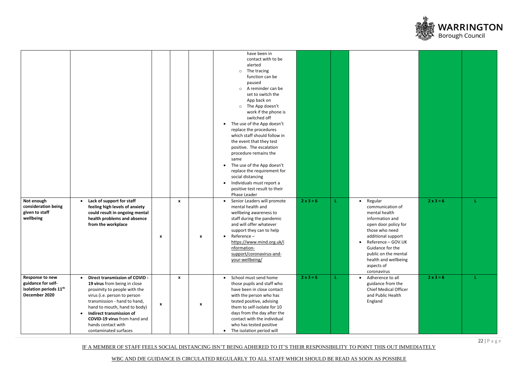IF A MEMBER OF STAFF FEELS SOCIAL DISTANCING ISN'T BEING ADHERED TO IT'S THEIR RESPONSIBILITY TO POINT THIS OUT IMMEDIATELY





| Not enough<br>consideration being<br>given to staff<br>wellbeing                             | Lack of support for staff<br>$\bullet$<br>feeling high levels of anxiety<br>could result in ongoing mental<br>health problems and absence<br>from the workplace                                                                                                                                                        | $\boldsymbol{\mathsf{x}}$ | $\mathbf{x}$ | have been in<br>contact with to be<br>alerted<br>The tracing<br>$\circ$<br>function can be<br>paused<br>$\circ$ A reminder can be<br>set to switch the<br>App back on<br>o The App doesn't<br>work if the phone is<br>switched off<br>The use of the App doesn't<br>replace the procedures<br>which staff should follow in<br>the event that they test<br>positive. The escalation<br>procedure remains the<br>same<br>The use of the App doesn't<br>replace the requirement for<br>social distancing<br>Individuals must report a<br>positive test result to their<br>Phase Leader<br>Senior Leaders will promote<br>mental health and<br>wellbeing awareness to<br>staff during the pandemic<br>and will offer whatever<br>support they can to help<br>Reference-<br>$\boldsymbol{x}$<br>https://www.mind.org.uk/i<br>nformation-<br>support/coronavirus-and-<br>your-wellbeing/ | $2 x 3 = 6$      | L  | • Regular<br>communication of<br>mental health<br>information and<br>open door policy for<br>those who need<br>additional support<br>• Reference - GOV.UK<br>Guidance for the<br>public on the mental<br>health and wellbeing<br>aspects of<br>coronavirus | $2 \times 3 = 6$ |  |
|----------------------------------------------------------------------------------------------|------------------------------------------------------------------------------------------------------------------------------------------------------------------------------------------------------------------------------------------------------------------------------------------------------------------------|---------------------------|--------------|------------------------------------------------------------------------------------------------------------------------------------------------------------------------------------------------------------------------------------------------------------------------------------------------------------------------------------------------------------------------------------------------------------------------------------------------------------------------------------------------------------------------------------------------------------------------------------------------------------------------------------------------------------------------------------------------------------------------------------------------------------------------------------------------------------------------------------------------------------------------------------|------------------|----|------------------------------------------------------------------------------------------------------------------------------------------------------------------------------------------------------------------------------------------------------------|------------------|--|
| Response to new<br>guidance for self-<br>isolation periods 11 <sup>th</sup><br>December 2020 | Direct transmission of COVID -<br>$\bullet$<br>19 virus from being in close<br>proximity to people with the<br>virus (i.e. person to person<br>transmission - hand to hand,<br>hand to mouth, hand to body)<br>Indirect transmission of<br>COVID-19 virus from hand and<br>hands contact with<br>contaminated surfaces | $\boldsymbol{\mathsf{x}}$ | $\mathbf{x}$ | School must send home<br>those pupils and staff who<br>have been in close contact<br>with the person who has<br>tested positive, advising<br>$\boldsymbol{\mathsf{x}}$<br>them to self-isolate for 10<br>days from the day after the<br>contact with the individual<br>who has tested positive<br>The isolation period will<br>$\bullet$                                                                                                                                                                                                                                                                                                                                                                                                                                                                                                                                           | $2 \times 3 = 6$ | ÷. | Adherence to all<br>$\bullet$<br>guidance from the<br><b>Chief Medical Officer</b><br>and Public Health<br>England                                                                                                                                         | $2 \times 3 = 6$ |  |